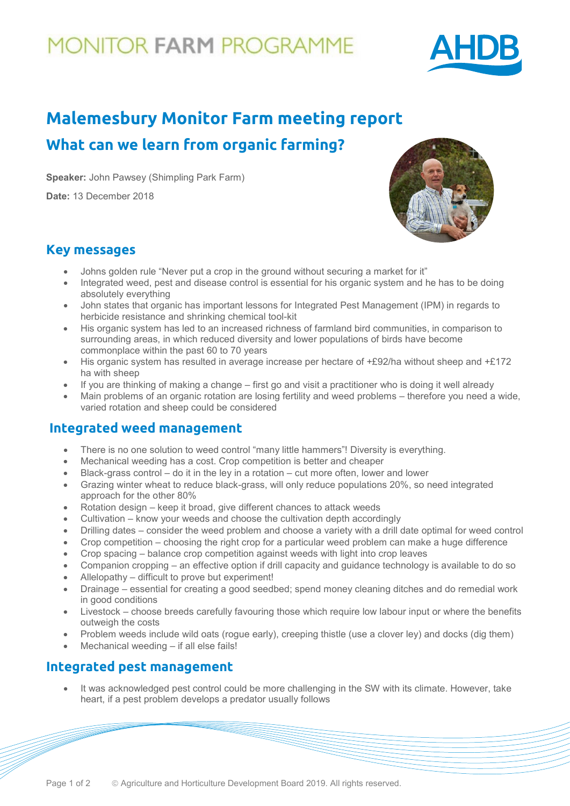## **10NITOR FARM PROGRAMME**



## **Malemesbury Monitor Farm meeting report What can we learn from organic farming?**

**Speaker:** John Pawsey (Shimpling Park Farm)

**Date:** 13 December 2018



### **Key messages**

- Johns golden rule "Never put a crop in the ground without securing a market for it"
- Integrated weed, pest and disease control is essential for his organic system and he has to be doing absolutely everything
- John states that organic has important lessons for Integrated Pest Management (IPM) in regards to herbicide resistance and shrinking chemical tool-kit
- His organic system has led to an increased richness of farmland bird communities, in comparison to surrounding areas, in which reduced diversity and lower populations of birds have become commonplace within the past 60 to 70 years
- His organic system has resulted in average increase per hectare of +£92/ha without sheep and +£172 ha with sheep
- If you are thinking of making a change first go and visit a practitioner who is doing it well already
- Main problems of an organic rotation are losing fertility and weed problems therefore you need a wide, varied rotation and sheep could be considered

## **Integrated weed management**

- There is no one solution to weed control "many little hammers"! Diversity is everything.
- Mechanical weeding has a cost. Crop competition is better and cheaper
- Black-grass control  $-$  do it in the ley in a rotation  $-$  cut more often, lower and lower
- Grazing winter wheat to reduce black-grass, will only reduce populations 20%, so need integrated approach for the other 80%
- Rotation design keep it broad, give different chances to attack weeds
- Cultivation know your weeds and choose the cultivation depth accordingly
- Drilling dates consider the weed problem and choose a variety with a drill date optimal for weed control
- Crop competition choosing the right crop for a particular weed problem can make a huge difference
- Crop spacing balance crop competition against weeds with light into crop leaves
- Companion cropping an effective option if drill capacity and guidance technology is available to do so
- Allelopathy difficult to prove but experiment!
- Drainage essential for creating a good seedbed; spend money cleaning ditches and do remedial work in good conditions
- Livestock choose breeds carefully favouring those which require low labour input or where the benefits outweigh the costs
- Problem weeds include wild oats (rogue early), creeping thistle (use a clover ley) and docks (dig them)
- Mechanical weeding if all else fails!

## **Integrated pest management**

• It was acknowledged pest control could be more challenging in the SW with its climate. However, take heart, if a pest problem develops a predator usually follows